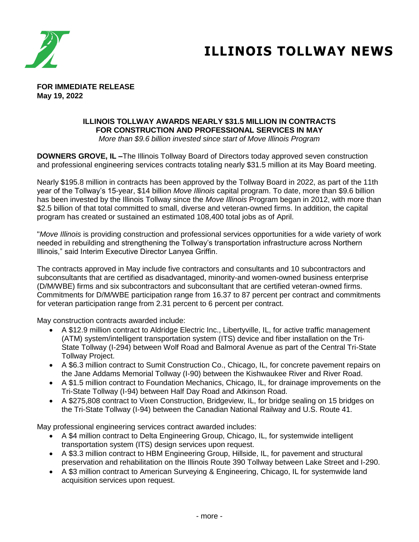

## **ILLINOIS TOLLWAY NEWS**

**FOR IMMEDIATE RELEASE May 19, 2022**

## **ILLINOIS TOLLWAY AWARDS NEARLY \$31.5 MILLION IN CONTRACTS FOR CONSTRUCTION AND PROFESSIONAL SERVICES IN MAY**

*More than \$9.6 billion invested since start of Move Illinois Program*

**DOWNERS GROVE, IL –**The Illinois Tollway Board of Directors today approved seven construction and professional engineering services contracts totaling nearly \$31.5 million at its May Board meeting.

Nearly \$195.8 million in contracts has been approved by the Tollway Board in 2022, as part of the 11th year of the Tollway's 15-year, \$14 billion *Move Illinois* capital program. To date, more than \$9.6 billion has been invested by the Illinois Tollway since the *Move Illinois* Program began in 2012, with more than \$2.5 billion of that total committed to small, diverse and veteran-owned firms. In addition, the capital program has created or sustained an estimated 108,400 total jobs as of April.

"*Move Illinois* is providing construction and professional services opportunities for a wide variety of work needed in rebuilding and strengthening the Tollway's transportation infrastructure across Northern Illinois," said Interim Executive Director Lanyea Griffin.

The contracts approved in May include five contractors and consultants and 10 subcontractors and subconsultants that are certified as disadvantaged, minority-and women-owned business enterprise (D/M/WBE) firms and six subcontractors and subconsultant that are certified veteran-owned firms. Commitments for D/M/WBE participation range from 16.37 to 87 percent per contract and commitments for veteran participation range from 2.31 percent to 6 percent per contract.

May construction contracts awarded include:

- A \$12.9 million contract to Aldridge Electric Inc., Libertyville, IL, for active traffic management (ATM) system/intelligent transportation system (ITS) device and fiber installation on the Tri-State Tollway (I-294) between Wolf Road and Balmoral Avenue as part of the Central Tri-State Tollway Project.
- A \$6.3 million contract to Sumit Construction Co., Chicago, IL, for concrete pavement repairs on the Jane Addams Memorial Tollway (I-90) between the Kishwaukee River and River Road.
- A \$1.5 million contract to Foundation Mechanics, Chicago, IL, for drainage improvements on the Tri-State Tollway (I-94) between Half Day Road and Atkinson Road.
- A \$275,808 contract to Vixen Construction, Bridgeview, IL, for bridge sealing on 15 bridges on the Tri-State Tollway (I-94) between the Canadian National Railway and U.S. Route 41.

May professional engineering services contract awarded includes:

- A \$4 million contract to Delta Engineering Group, Chicago, IL, for systemwide intelligent transportation system (ITS) design services upon request.
- A \$3.3 million contract to HBM Engineering Group, Hillside, IL, for pavement and structural preservation and rehabilitation on the Illinois Route 390 Tollway between Lake Street and I-290.
- A \$3 million contract to American Surveying & Engineering, Chicago, IL for systemwide land acquisition services upon request.